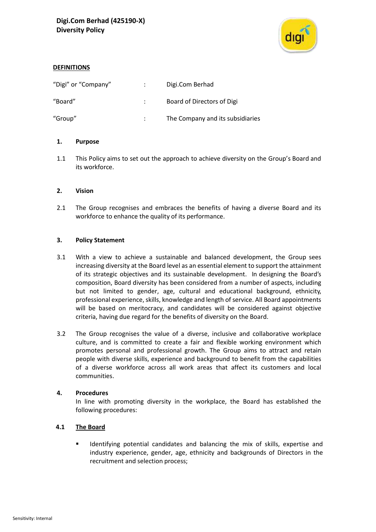

# **DEFINITIONS**

| "Digi" or "Company" | Digi.Com Berhad                  |
|---------------------|----------------------------------|
| "Board"             | Board of Directors of Digi       |
| "Group"             | The Company and its subsidiaries |

# **1. Purpose**

1.1 This Policy aims to set out the approach to achieve diversity on the Group's Board and its workforce.

# **2. Vision**

2.1 The Group recognises and embraces the benefits of having a diverse Board and its workforce to enhance the quality of its performance.

# **3. Policy Statement**

- 3.1 With a view to achieve a sustainable and balanced development, the Group sees increasing diversity at the Board level as an essential element to support the attainment of its strategic objectives and its sustainable development. In designing the Board's composition, Board diversity has been considered from a number of aspects, including but not limited to gender, age, cultural and educational background, ethnicity, professional experience, skills, knowledge and length of service. All Board appointments will be based on meritocracy, and candidates will be considered against objective criteria, having due regard for the benefits of diversity on the Board.
- 3.2 The Group recognises the value of a diverse, inclusive and collaborative workplace culture, and is committed to create a fair and flexible working environment which promotes personal and professional growth. The Group aims to attract and retain people with diverse skills, experience and background to benefit from the capabilities of a diverse workforce across all work areas that affect its customers and local communities.

### **4. Procedures**

In line with promoting diversity in the workplace, the Board has established the following procedures:

# **4.1 The Board**

▪ Identifying potential candidates and balancing the mix of skills, expertise and industry experience, gender, age, ethnicity and backgrounds of Directors in the recruitment and selection process;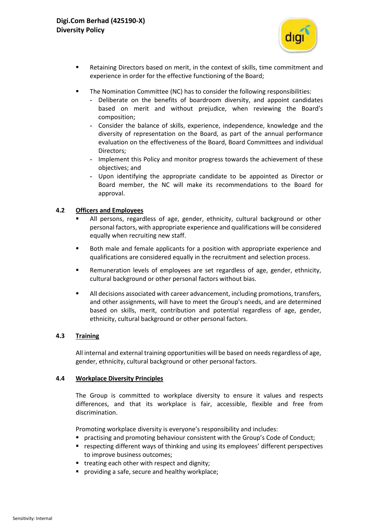

- Retaining Directors based on merit, in the context of skills, time commitment and experience in order for the effective functioning of the Board;
- The Nomination Committee (NC) has to consider the following responsibilities:
	- **-** Deliberate on the benefits of boardroom diversity, and appoint candidates based on merit and without prejudice, when reviewing the Board's composition;
	- **-** Consider the balance of skills, experience, independence, knowledge and the diversity of representation on the Board, as part of the annual performance evaluation on the effectiveness of the Board, Board Committees and individual Directors;
	- **-** Implement this Policy and monitor progress towards the achievement of these objectives; and
	- **-** Upon identifying the appropriate candidate to be appointed as Director or Board member, the NC will make its recommendations to the Board for approval.

# **4.2 Officers and Employees**

- All persons, regardless of age, gender, ethnicity, cultural background or other personal factors, with appropriate experience and qualifications will be considered equally when recruiting new staff.
- Both male and female applicants for a position with appropriate experience and qualifications are considered equally in the recruitment and selection process.
- Remuneration levels of employees are set regardless of age, gender, ethnicity, cultural background or other personal factors without bias.
- **E** All decisions associated with career advancement, including promotions, transfers, and other assignments, will have to meet the Group's needs, and are determined based on skills, merit, contribution and potential regardless of age, gender, ethnicity, cultural background or other personal factors.

## **4.3 Training**

All internal and external training opportunities will be based on needs regardless of age, gender, ethnicity, cultural background or other personal factors.

### **4.4 Workplace Diversity Principles**

The Group is committed to workplace diversity to ensure it values and respects differences, and that its workplace is fair, accessible, flexible and free from discrimination.

Promoting workplace diversity is everyone's responsibility and includes:

- **•** practising and promoting behaviour consistent with the Group's Code of Conduct;
- **EX FERENT** respecting different ways of thinking and using its employees' different perspectives to improve business outcomes;
- treating each other with respect and dignity;
- providing a safe, secure and healthy workplace;